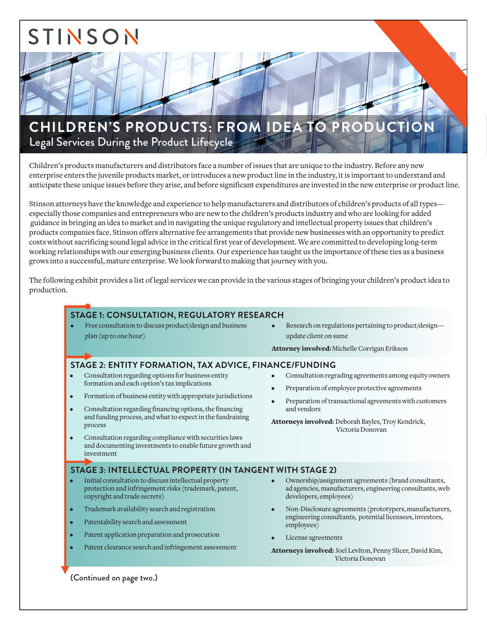# STINSON

# CHILDREN'S PRODUCTS: FROM IDEA TO PRODUCTION Legal Services During the Product Lifecycle

Children's products manufacturers and distributors face a number of issues that are unique to the industry. Before any new enterprise enters the juvenile products market, or introduces a new product line in the industry, it is important to understand and anticipate these unique issues before they arise, and before significant expenditures are invested in the new enterprise or product line.

Stinson attorneys have the knowledge and experience to help manufacturers and distributors of children's products of all types especially those companies and entrepreneurs who are new to the children's products industry and who are looking for added guidance in bringing an idea to market and in navigating the unique regulatory and intellectual property issues that children's products companies face. Stinson offers alternative fee arrangements that provide new businesses with an opportunity to predict costs without sacrificing sound legal advice in the critical first year of development. We are committed to developing long-term working relationships with our emerging business clients. Our experience has taught us the importance of these ties as a business grows into a successful, mature enterprise. We look forward to making that journey with you.

The following exhibit provides a list of legal services we can provide in the various stages of bringing your children's product idea to production.

# **STAGE 1: CONSULTATION, REGULATORY RESEARCH**

- Free consultation to discuss product/design and business plan (up to one hour)
- Research on regulations pertaining to product/design update client on same

Attorney involved: Michelle Corrigan Erikson

## **STAGE 2: ENTITY FORMATION, TAX ADVICE, FINANCE/FUNDING**

- Consultation regarding options for business entity formation and each option's tax implications
- Formation of business entity with appropriate jurisdictions
- Consultation regarding financing options, the financing and funding process, and what to expect in the fundraising process
- Consultation regarding compliance with securities laws and documenting investments to enable future growth and investment

## **STAGE 3: INTELLECTUAL PROPERTY (IN TANGENT WITH STAGE 2)**

- Initial consultation to discuss intellectual property protection and infringement risks (trademark, patent, copyright and trade secrets)
- Trademark availability search and registration
- Patentability search and assessment
- Patent application preparation and prosecution
- Patent clearance search and infringement assessment
- Consultation regrading agreements among equity owners
- Preparation of employee protective agreements
- Preparation of transactional agreements with customers and vendors

Attorneys involved: Deborah Bayles, Troy Kendrick, Victoria Donovan

- Ownership/assignment agreements (brand consultants, ad agencies, manufacturers, engineering consultants, web developers, employees)
- Non-Disclosure agreements (prototypers, manufacturers, engineering consultants, potential licensees, investors, employees)
- License agreements
- Attorneys involved: Joel Leviton, Penny Slicer, David Kim, Victoria Donovan

(Continued on page two.)